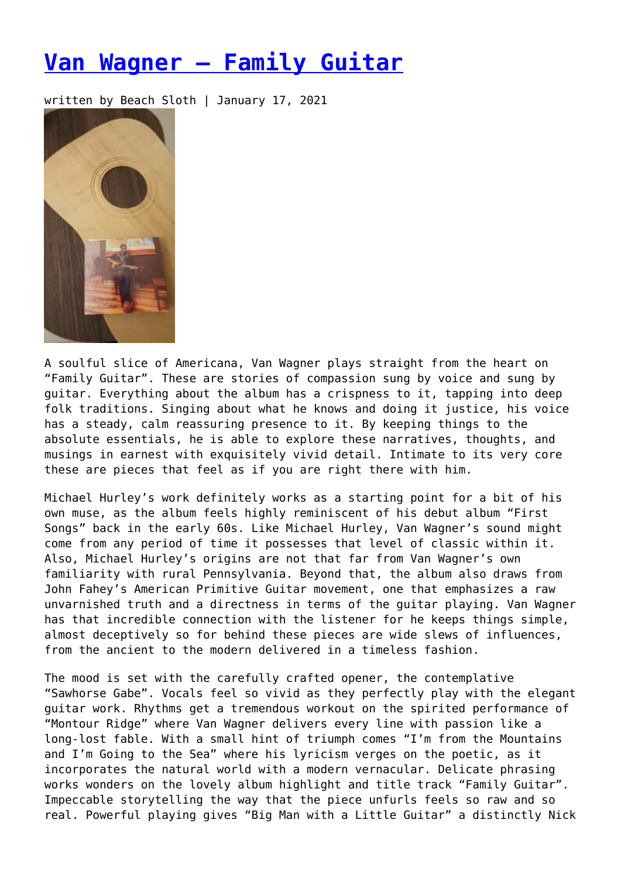## **[Van Wagner – Family Guitar](https://entropymag.org/van-wagner-family-guitar/)**

written by Beach Sloth | January 17, 2021



A soulful slice of Americana, Van Wagner plays straight from the heart on "Family Guitar". These are stories of compassion sung by voice and sung by guitar. Everything about the album has a crispness to it, tapping into deep folk traditions. Singing about what he knows and doing it justice, his voice has a steady, calm reassuring presence to it. By keeping things to the absolute essentials, he is able to explore these narratives, thoughts, and musings in earnest with exquisitely vivid detail. Intimate to its very core these are pieces that feel as if you are right there with him.

Michael Hurley's work definitely works as a starting point for a bit of his own muse, as the album feels highly reminiscent of his debut album "First Songs" back in the early 60s. Like Michael Hurley, Van Wagner's sound might come from any period of time it possesses that level of classic within it. Also, Michael Hurley's origins are not that far from Van Wagner's own familiarity with rural Pennsylvania. Beyond that, the album also draws from John Fahey's American Primitive Guitar movement, one that emphasizes a raw unvarnished truth and a directness in terms of the guitar playing. Van Wagner has that incredible connection with the listener for he keeps things simple, almost deceptively so for behind these pieces are wide slews of influences, from the ancient to the modern delivered in a timeless fashion.

The mood is set with the carefully crafted opener, the contemplative "Sawhorse Gabe". Vocals feel so vivid as they perfectly play with the elegant guitar work. Rhythms get a tremendous workout on the spirited performance of "Montour Ridge" where Van Wagner delivers every line with passion like a long-lost fable. With a small hint of triumph comes "I'm from the Mountains and I'm Going to the Sea" where his lyricism verges on the poetic, as it incorporates the natural world with a modern vernacular. Delicate phrasing works wonders on the lovely album highlight and title track "Family Guitar". Impeccable storytelling the way that the piece unfurls feels so raw and so real. Powerful playing gives "Big Man with a Little Guitar" a distinctly Nick